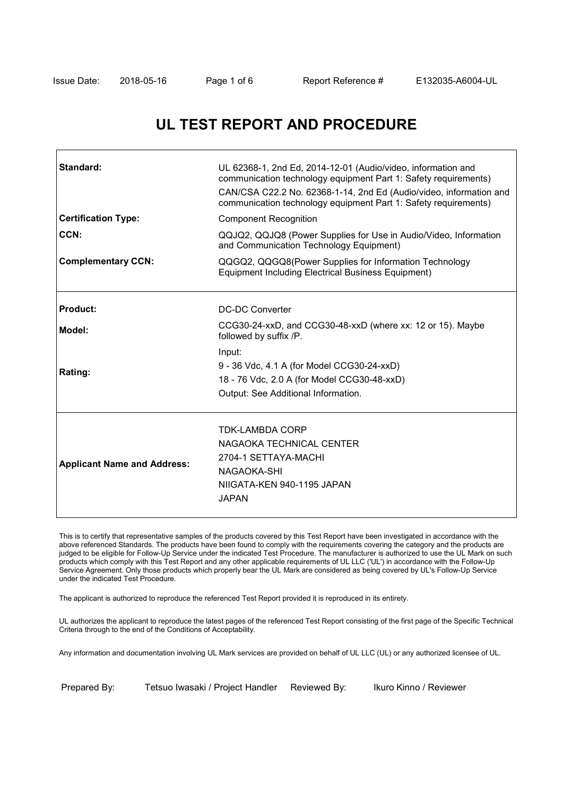٦

# **UL TEST REPORT AND PROCEDURE**

| Standard:                          | UL 62368-1, 2nd Ed, 2014-12-01 (Audio/video, information and<br>communication technology equipment Part 1: Safety requirements)<br>CAN/CSA C22.2 No. 62368-1-14, 2nd Ed (Audio/video, information and<br>communication technology equipment Part 1: Safety requirements) |  |  |
|------------------------------------|--------------------------------------------------------------------------------------------------------------------------------------------------------------------------------------------------------------------------------------------------------------------------|--|--|
| <b>Certification Type:</b>         | <b>Component Recognition</b>                                                                                                                                                                                                                                             |  |  |
| CCN:                               | QQJQ2, QQJQ8 (Power Supplies for Use in Audio/Video, Information<br>and Communication Technology Equipment)                                                                                                                                                              |  |  |
| <b>Complementary CCN:</b>          | QQGQ2, QQGQ8(Power Supplies for Information Technology<br><b>Equipment Including Electrical Business Equipment)</b>                                                                                                                                                      |  |  |
| <b>Product:</b>                    | DC-DC Converter                                                                                                                                                                                                                                                          |  |  |
| Model:                             | CCG30-24-xxD, and CCG30-48-xxD (where xx: 12 or 15). Maybe<br>followed by suffix /P.                                                                                                                                                                                     |  |  |
| Rating:                            | Input:<br>9 - 36 Vdc, 4.1 A (for Model CCG30-24-xxD)<br>18 - 76 Vdc, 2.0 A (for Model CCG30-48-xxD)<br>Output: See Additional Information.                                                                                                                               |  |  |
| <b>Applicant Name and Address:</b> | <b>TDK-LAMBDA CORP</b><br>NAGAOKA TECHNICAL CENTER<br>2704-1 SETTAYA-MACHI<br>NAGAOKA-SHI<br>NIIGATA-KEN 940-1195 JAPAN<br><b>JAPAN</b>                                                                                                                                  |  |  |

This is to certify that representative samples of the products covered by this Test Report have been investigated in accordance with the above referenced Standards. The products have been found to comply with the requirements covering the category and the products are judged to be eligible for Follow-Up Service under the indicated Test Procedure. The manufacturer is authorized to use the UL Mark on such products which comply with this Test Report and any other applicable requirements of UL LLC ('UL') in accordance with the Follow-Up Service Agreement. Only those products which properly bear the UL Mark are considered as being covered by UL's Follow-Up Service under the indicated Test Procedure.

The applicant is authorized to reproduce the referenced Test Report provided it is reproduced in its entirety.

UL authorizes the applicant to reproduce the latest pages of the referenced Test Report consisting of the first page of the Specific Technical Criteria through to the end of the Conditions of Acceptability.

Any information and documentation involving UL Mark services are provided on behalf of UL LLC (UL) or any authorized licensee of UL.

Prepared By: Tetsuo Iwasaki / Project Handler Reviewed By: Ikuro Kinno / Reviewer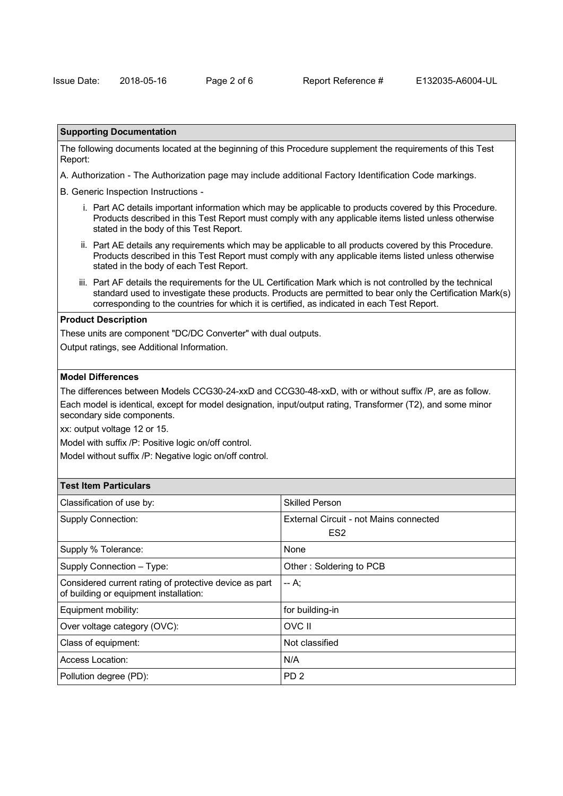#### **Supporting Documentation**

The following documents located at the beginning of this Procedure supplement the requirements of this Test Report:

A. Authorization - The Authorization page may include additional Factory Identification Code markings.

B. Generic Inspection Instructions -

- i. Part AC details important information which may be applicable to products covered by this Procedure. Products described in this Test Report must comply with any applicable items listed unless otherwise stated in the body of this Test Report.
- ii. Part AE details any requirements which may be applicable to all products covered by this Procedure. Products described in this Test Report must comply with any applicable items listed unless otherwise stated in the body of each Test Report.
- iii. Part AF details the requirements for the UL Certification Mark which is not controlled by the technical standard used to investigate these products. Products are permitted to bear only the Certification Mark(s) corresponding to the countries for which it is certified, as indicated in each Test Report.

## **Product Description**

These units are component "DC/DC Converter" with dual outputs.

Output ratings, see Additional Information.

## **Model Differences**

The differences between Models CCG30-24-xxD and CCG30-48-xxD, with or without suffix /P, are as follow.

Each model is identical, except for model designation, input/output rating, Transformer (T2), and some minor secondary side components.

xx: output voltage 12 or 15.

Model with suffix /P: Positive logic on/off control.

Model without suffix /P: Negative logic on/off control.

| Classification of use by:                                                                        | <b>Skilled Person</b>                  |
|--------------------------------------------------------------------------------------------------|----------------------------------------|
| <b>Supply Connection:</b>                                                                        | External Circuit - not Mains connected |
|                                                                                                  | ES <sub>2</sub>                        |
| Supply % Tolerance:                                                                              | None                                   |
| Supply Connection - Type:                                                                        | Other: Soldering to PCB                |
| Considered current rating of protective device as part<br>of building or equipment installation: | -- A:                                  |
| Equipment mobility:                                                                              | for building-in                        |
| Over voltage category (OVC):                                                                     | OVC II                                 |
| Class of equipment:                                                                              | Not classified                         |
| Access Location:                                                                                 | N/A                                    |
| Pollution degree (PD):                                                                           | PD <sub>2</sub>                        |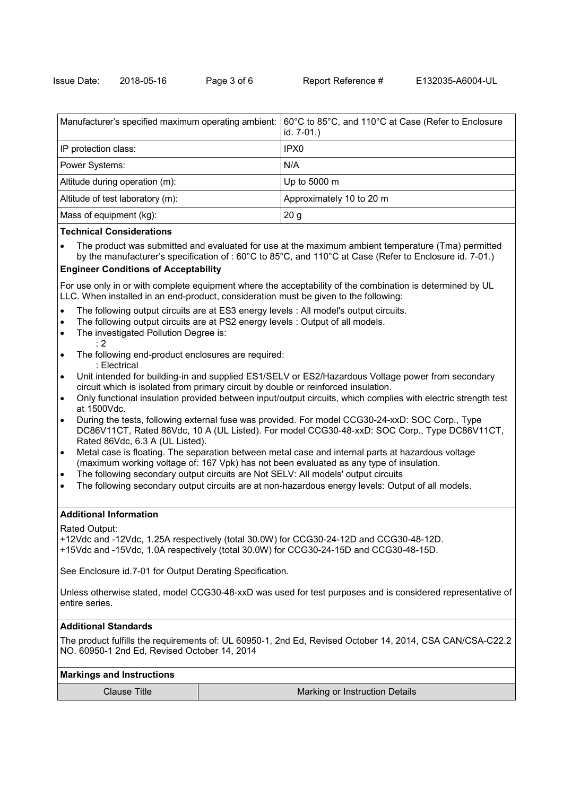| Manufacturer's specified maximum operating ambient: | 60℃ to 85°C, and 110°C at Case (Refer to Enclosure<br>id. 7-01.) |
|-----------------------------------------------------|------------------------------------------------------------------|
| IP protection class:                                | IPX0                                                             |
| Power Systems:                                      | N/A                                                              |
| Altitude during operation (m):                      | Up to 5000 m                                                     |
| Altitude of test laboratory (m):                    | Approximately 10 to 20 m                                         |
| Mass of equipment (kg):                             | 20 <sub>g</sub>                                                  |

#### **Technical Considerations**

The product was submitted and evaluated for use at the maximum ambient temperature (Tma) permitted by the manufacturer's specification of : 60°C to 85°C, and 110°C at Case (Refer to Enclosure id. 7-01.)

# **Engineer Conditions of Acceptability**

For use only in or with complete equipment where the acceptability of the combination is determined by UL LLC. When installed in an end-product, consideration must be given to the following:

- The following output circuits are at ES3 energy levels : All model's output circuits.
- The following output circuits are at PS2 energy levels : Output of all models.
- · The investigated Pollution Degree is:
- : 2
- · The following end-product enclosures are required: : Electrical
- Unit intended for building-in and supplied ES1/SELV or ES2/Hazardous Voltage power from secondary circuit which is isolated from primary circuit by double or reinforced insulation.
- · Only functional insulation provided between input/output circuits, which complies with electric strength test at 1500Vdc.
- · During the tests, following external fuse was provided. For model CCG30-24-xxD: SOC Corp., Type DC86V11CT, Rated 86Vdc, 10 A (UL Listed). For model CCG30-48-xxD: SOC Corp., Type DC86V11CT, Rated 86Vdc, 6.3 A (UL Listed).
- · Metal case is floating. The separation between metal case and internal parts at hazardous voltage (maximum working voltage of: 167 Vpk) has not been evaluated as any type of insulation.
- The following secondary output circuits are Not SELV: All models' output circuits
- The following secondary output circuits are at non-hazardous energy levels: Output of all models.

# **Additional Information**

Rated Output:

+12Vdc and -12Vdc, 1.25A respectively (total 30.0W) for CCG30-24-12D and CCG30-48-12D.

+15Vdc and -15Vdc, 1.0A respectively (total 30.0W) for CCG30-24-15D and CCG30-48-15D.

See Enclosure id.7-01 for Output Derating Specification.

Unless otherwise stated, model CCG30-48-xxD was used for test purposes and is considered representative of entire series.

### **Additional Standards**

The product fulfills the requirements of: UL 60950-1, 2nd Ed, Revised October 14, 2014, CSA CAN/CSA-C22.2 NO. 60950-1 2nd Ed, Revised October 14, 2014

#### **Markings and Instructions**